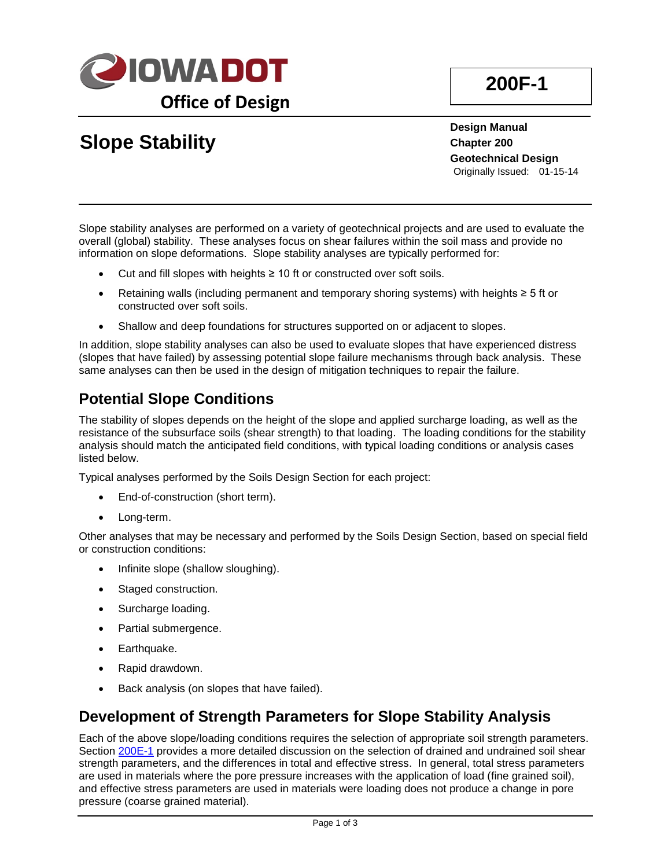

# **Slope Stability**

**Design Manual Chapter 200 Geotechnical Design** Originally Issued: 01-15-14

Slope stability analyses are performed on a variety of geotechnical projects and are used to evaluate the overall (global) stability. These analyses focus on shear failures within the soil mass and provide no information on slope deformations. Slope stability analyses are typically performed for:

- Cut and fill slopes with heights ≥ 10 ft or constructed over soft soils.
- Retaining walls (including permanent and temporary shoring systems) with heights ≥ 5 ft or constructed over soft soils.
- Shallow and deep foundations for structures supported on or adjacent to slopes.

In addition, slope stability analyses can also be used to evaluate slopes that have experienced distress (slopes that have failed) by assessing potential slope failure mechanisms through back analysis. These same analyses can then be used in the design of mitigation techniques to repair the failure.

## **Potential Slope Conditions**

The stability of slopes depends on the height of the slope and applied surcharge loading, as well as the resistance of the subsurface soils (shear strength) to that loading. The loading conditions for the stability analysis should match the anticipated field conditions, with typical loading conditions or analysis cases listed below.

Typical analyses performed by the Soils Design Section for each project:

- End-of-construction (short term).
- Long-term.

Other analyses that may be necessary and performed by the Soils Design Section, based on special field or construction conditions:

- Infinite slope (shallow sloughing).
- Staged construction.
- Surcharge loading.
- Partial submergence.
- Earthquake.
- Rapid drawdown.
- Back analysis (on slopes that have failed).

### **Development of Strength Parameters for Slope Stability Analysis**

Each of the above slope/loading conditions requires the selection of appropriate soil strength parameters. Section 200E-1 provides a more detailed discussion on the selection of drained and undrained soil shear strength parameters, and the differences in total and effective stress. In general, total stress parameters are used in materials where the pore pressure increases with the application of load (fine grained soil), and effective stress parameters are used in materials were loading does not produce a change in pore pressure (coarse grained material).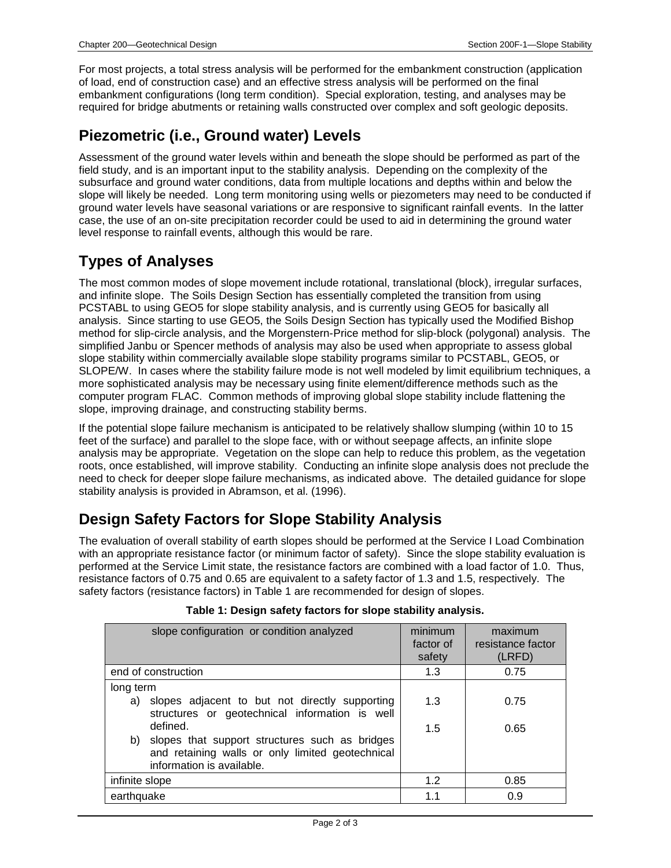For most projects, a total stress analysis will be performed for the embankment construction (application of load, end of construction case) and an effective stress analysis will be performed on the final embankment configurations (long term condition). Special exploration, testing, and analyses may be required for bridge abutments or retaining walls constructed over complex and soft geologic deposits.

## **Piezometric (i.e., Ground water) Levels**

Assessment of the ground water levels within and beneath the slope should be performed as part of the field study, and is an important input to the stability analysis. Depending on the complexity of the subsurface and ground water conditions, data from multiple locations and depths within and below the slope will likely be needed. Long term monitoring using wells or piezometers may need to be conducted if ground water levels have seasonal variations or are responsive to significant rainfall events. In the latter case, the use of an on-site precipitation recorder could be used to aid in determining the ground water level response to rainfall events, although this would be rare.

# **Types of Analyses**

The most common modes of slope movement include rotational, translational (block), irregular surfaces, and infinite slope. The Soils Design Section has essentially completed the transition from using PCSTABL to using GEO5 for slope stability analysis, and is currently using GEO5 for basically all analysis. Since starting to use GEO5, the Soils Design Section has typically used the Modified Bishop method for slip-circle analysis, and the Morgenstern-Price method for slip-block (polygonal) analysis. The simplified Janbu or Spencer methods of analysis may also be used when appropriate to assess global slope stability within commercially available slope stability programs similar to PCSTABL, GEO5, or SLOPE/W. In cases where the stability failure mode is not well modeled by limit equilibrium techniques, a more sophisticated analysis may be necessary using finite element/difference methods such as the computer program FLAC. Common methods of improving global slope stability include flattening the slope, improving drainage, and constructing stability berms.

If the potential slope failure mechanism is anticipated to be relatively shallow slumping (within 10 to 15 feet of the surface) and parallel to the slope face, with or without seepage affects, an infinite slope analysis may be appropriate. Vegetation on the slope can help to reduce this problem, as the vegetation roots, once established, will improve stability. Conducting an infinite slope analysis does not preclude the need to check for deeper slope failure mechanisms, as indicated above. The detailed guidance for slope stability analysis is provided in Abramson, et al. (1996).

# **Design Safety Factors for Slope Stability Analysis**

The evaluation of overall stability of earth slopes should be performed at the Service I Load Combination with an appropriate resistance factor (or minimum factor of safety). Since the slope stability evaluation is performed at the Service Limit state, the resistance factors are combined with a load factor of 1.0. Thus, resistance factors of 0.75 and 0.65 are equivalent to a safety factor of 1.3 and 1.5, respectively. The safety factors (resistance factors) in Table 1 are recommended for design of slopes.

| slope configuration or condition analyzed                                                                                          | minimum   | maximum           |
|------------------------------------------------------------------------------------------------------------------------------------|-----------|-------------------|
|                                                                                                                                    | factor of | resistance factor |
|                                                                                                                                    | safety    | (LRFD)            |
| end of construction                                                                                                                | 1.3       | 0.75              |
| long term                                                                                                                          |           |                   |
| slopes adjacent to but not directly supporting<br>a)<br>structures or geotechnical information is well                             | 1.3       | 0.75              |
| defined.                                                                                                                           | 1.5       | 0.65              |
| b) slopes that support structures such as bridges<br>and retaining walls or only limited geotechnical<br>information is available. |           |                   |
| infinite slope                                                                                                                     | 1.2       | 0.85              |
| earthquake                                                                                                                         | 1.1       | 0.9               |

#### **Table 1: Design safety factors for slope stability analysis.**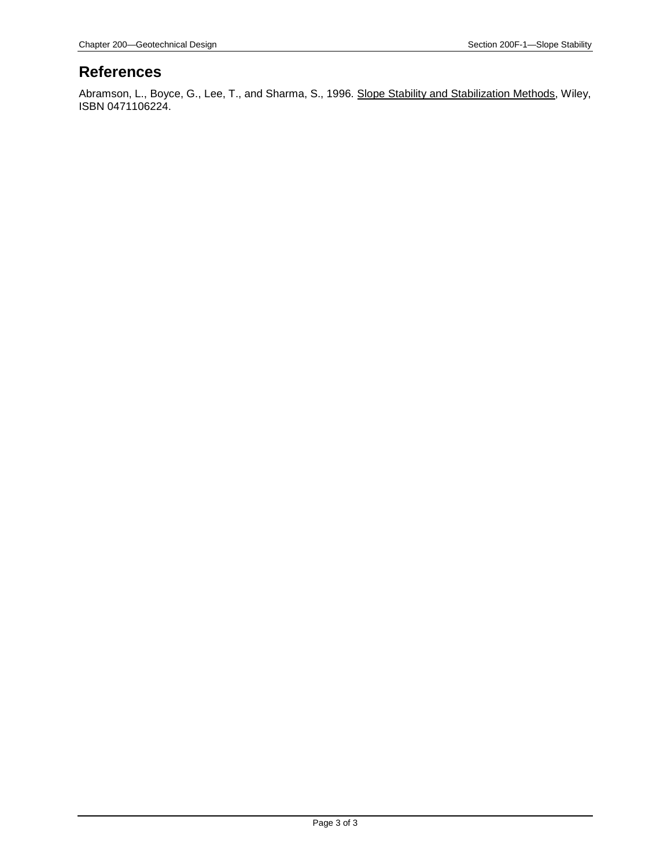#### **References**

Abramson, L., Boyce, G., Lee, T., and Sharma, S., 1996. <u>Slope Stability and Stabilization Methods,</u> Wiley, ISBN 0471106224.